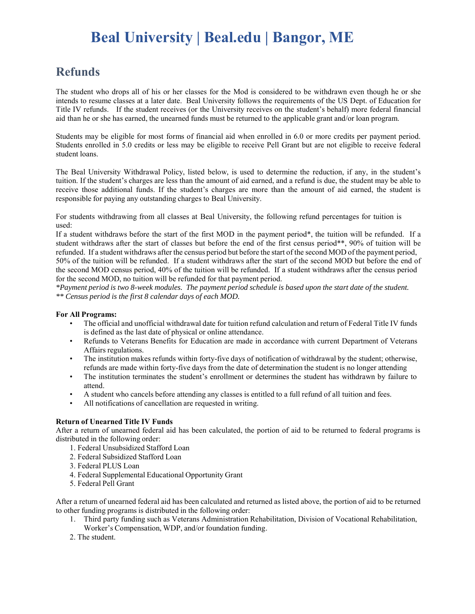# **Beal University | Beal.edu | Bangor, ME**

### **Refunds**

The student who drops all of his or her classes for the Mod is considered to be withdrawn even though he or she intends to resume classes at a later date. Beal University follows the requirements of the US Dept. of Education for Title IV refunds. If the student receives (or the University receives on the student's behalf) more federal financial aid than he or she has earned, the unearned funds must be returned to the applicable grant and/or loan program.

Students may be eligible for most forms of financial aid when enrolled in 6.0 or more credits per payment period. Students enrolled in 5.0 credits or less may be eligible to receive Pell Grant but are not eligible to receive federal student loans.

The Beal University Withdrawal Policy, listed below, is used to determine the reduction, if any, in the student's tuition. If the student's charges are less than the amount of aid earned, and a refund is due, the student may be able to receive those additional funds. If the student's charges are more than the amount of aid earned, the student is responsible for paying any outstanding charges to Beal University.

For students withdrawing from all classes at Beal University, the following refund percentages for tuition is used:

If a student withdraws before the start of the first MOD in the payment period\*, the tuition will be refunded. If a student withdraws after the start of classes but before the end of the first census period\*\*, 90% of tuition will be refunded. If a student withdraws after the census period but before the start of the second MOD of the payment period, 50% of the tuition will be refunded. If a student withdraws after the start of the second MOD but before the end of the second MOD census period, 40% of the tuition will be refunded. If a student withdraws after the census period for the second MOD, no tuition will be refunded for that payment period.

*\*Payment period is two 8-week modules. The payment period schedule is based upon the start date of the student. \*\* Census period is the first 8 calendar days of each MOD.*

#### **For All Programs:**

- The official and unofficial withdrawal date for tuition refund calculation and return of Federal Title IV funds is defined as the last date of physical or online attendance.
- Refunds to Veterans Benefits for Education are made in accordance with current Department of Veterans Affairs regulations.
- The institution makes refunds within forty-five days of notification of withdrawal by the student; otherwise, refunds are made within forty-five days from the date of determination the student is no longer attending
- The institution terminates the student's enrollment or determines the student has withdrawn by failure to attend.
- A student who cancels before attending any classes is entitled to a full refund of all tuition and fees.
- All notifications of cancellation are requested in writing.

#### **Return of Unearned Title IV Funds**

After a return of unearned federal aid has been calculated, the portion of aid to be returned to federal programs is distributed in the following order:

- 1. Federal Unsubsidized Stafford Loan
- 2. Federal Subsidized Stafford Loan
- 3. Federal PLUS Loan
- 4. Federal Supplemental Educational Opportunity Grant
- 5. Federal Pell Grant

After a return of unearned federal aid has been calculated and returned as listed above, the portion of aid to be returned to other funding programs is distributed in the following order:

- 1. Third party funding such as Veterans Administration Rehabilitation, Division of Vocational Rehabilitation, Worker's Compensation, WDP, and/or foundation funding.
- 2. The student.